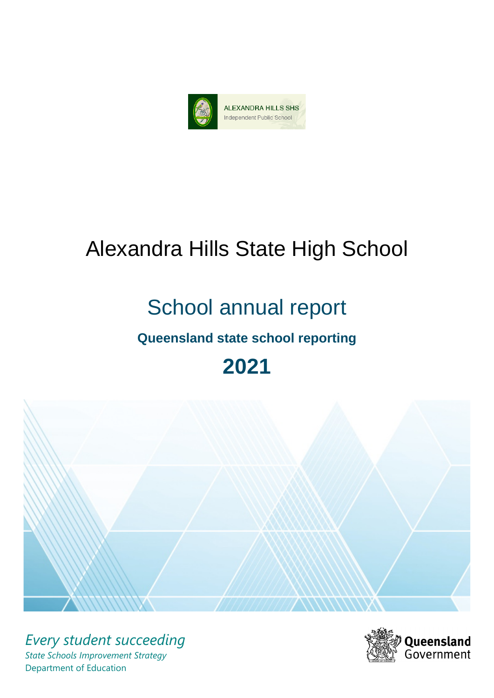

# Alexandra Hills State High School

# School annual report

# **Queensland state school reporting**

# **2021**



*Every student succeeding State Schools Improvement Strategy* Department of Education

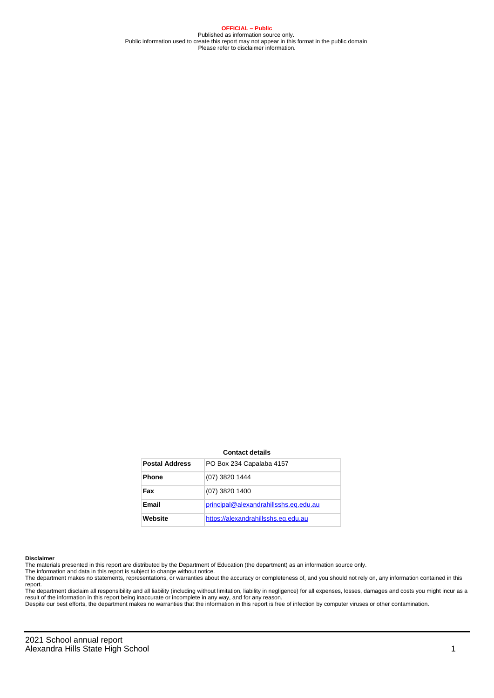**OFFICIAL – Public** Published as information source only. Public information used to create this report may not appear in this format in the public domain Please refer to disclaimer information.

#### **Contact details**

| <b>Postal Address</b> | PO Box 234 Capalaba 4157              |
|-----------------------|---------------------------------------|
| <b>Phone</b>          | (07) 3820 1444                        |
| Fax                   | $(07)$ 3820 1400                      |
| Email                 | principal@alexandrahillsshs.eq.edu.au |
| Website               | https://alexandrahillsshs.eq.edu.au   |

#### **Disclaimer**

The materials presented in this report are distributed by the Department of Education (the department) as an information source only.

The information and data in this report is subject to change without notice.<br>The department makes no statements, representations, or warranties about the accuracy or completeness of, and you should not rely on, any informa report. The department disclaim all responsibility and all liability (including without limitation, liability in negligence) for all expenses, losses, damages and costs you might incur as a

result of the information in this report being inaccurate or incomplete in any way, and for any reason.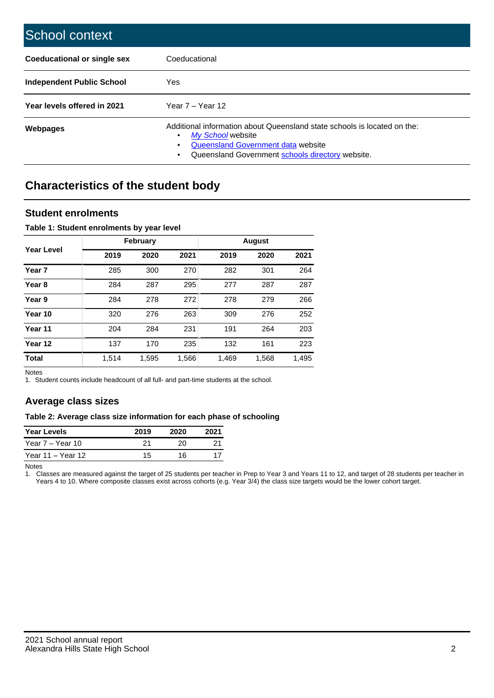| School context                     |                                                                                                                                                                                                   |
|------------------------------------|---------------------------------------------------------------------------------------------------------------------------------------------------------------------------------------------------|
| <b>Coeducational or single sex</b> | Coeducational                                                                                                                                                                                     |
| Independent Public School          | <b>Yes</b>                                                                                                                                                                                        |
| Year levels offered in 2021        | Year $7 -$ Year 12                                                                                                                                                                                |
| Webpages                           | Additional information about Queensland state schools is located on the:<br>My School website<br>٠<br>Queensland Government data website<br>Queensland Government schools directory website.<br>٠ |

# **Characteristics of the student body**

## **Student enrolments**

### **Table 1: Student enrolments by year level**

|                   |       | <b>February</b> |       |       | <b>August</b> |       |
|-------------------|-------|-----------------|-------|-------|---------------|-------|
| Year Level        | 2019  | 2020            | 2021  | 2019  | 2020          | 2021  |
| Year <sub>7</sub> | 285   | 300             | 270   | 282   | 301           | 264   |
| Year <sub>8</sub> | 284   | 287             | 295   | 277   | 287           | 287   |
| Year 9            | 284   | 278             | 272   | 278   | 279           | 266   |
| Year 10           | 320   | 276             | 263   | 309   | 276           | 252   |
| Year 11           | 204   | 284             | 231   | 191   | 264           | 203   |
| Year 12           | 137   | 170             | 235   | 132   | 161           | 223   |
| <b>Total</b>      | 1,514 | 1,595           | 1,566 | 1,469 | 1,568         | 1,495 |

Notes

1. Student counts include headcount of all full- and part-time students at the school.

## **Average class sizes**

#### **Table 2: Average class size information for each phase of schooling**

| <b>Year Levels</b> | 2019 | 2020 | 2021 |
|--------------------|------|------|------|
| Year 7 – Year 10   | 21   | 20   |      |
| Year 11 – Year 12  | 15   | 16   |      |

Notes

1. Classes are measured against the target of 25 students per teacher in Prep to Year 3 and Years 11 to 12, and target of 28 students per teacher in Years 4 to 10. Where composite classes exist across cohorts (e.g. Year 3/4) the class size targets would be the lower cohort target.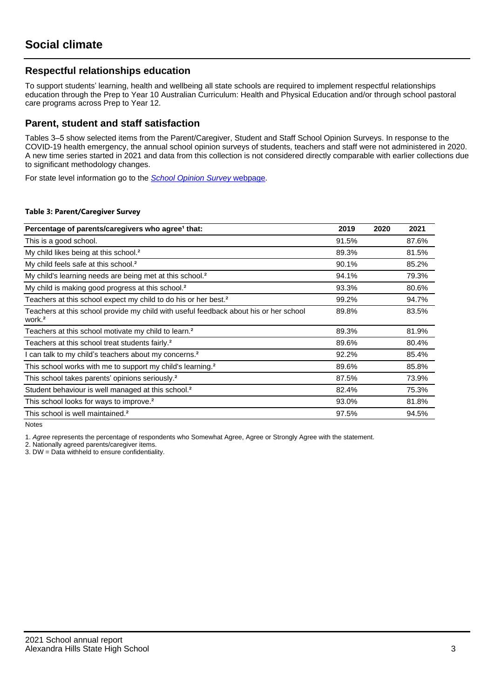## **Respectful relationships education**

To support students' learning, health and wellbeing all state schools are required to implement respectful relationships education through the Prep to Year 10 Australian Curriculum: Health and Physical Education and/or through school pastoral care programs across Prep to Year 12.

## **Parent, student and staff satisfaction**

Tables 3–5 show selected items from the Parent/Caregiver, Student and Staff School Opinion Surveys. In response to the COVID-19 health emergency, the annual school opinion surveys of students, teachers and staff were not administered in 2020. A new time series started in 2021 and data from this collection is not considered directly comparable with earlier collections due to significant methodology changes.

For state level information go to the **[School Opinion Survey](https://qed.qld.gov.au/publications/reports/statistics/schooling/schools/schoolopinionsurvey) webpage**.

#### **Table 3: Parent/Caregiver Survey**

| Percentage of parents/caregivers who agree <sup>1</sup> that:                                               | 2019  | 2020 | 2021  |
|-------------------------------------------------------------------------------------------------------------|-------|------|-------|
| This is a good school.                                                                                      | 91.5% |      | 87.6% |
| My child likes being at this school. <sup>2</sup>                                                           | 89.3% |      | 81.5% |
| My child feels safe at this school. <sup>2</sup>                                                            | 90.1% |      | 85.2% |
| My child's learning needs are being met at this school. <sup>2</sup>                                        | 94.1% |      | 79.3% |
| My child is making good progress at this school. <sup>2</sup>                                               | 93.3% |      | 80.6% |
| Teachers at this school expect my child to do his or her best. <sup>2</sup>                                 | 99.2% |      | 94.7% |
| Teachers at this school provide my child with useful feedback about his or her school<br>work. <sup>2</sup> | 89.8% |      | 83.5% |
| Teachers at this school motivate my child to learn. <sup>2</sup>                                            | 89.3% |      | 81.9% |
| Teachers at this school treat students fairly. <sup>2</sup>                                                 | 89.6% |      | 80.4% |
| can talk to my child's teachers about my concerns. <sup>2</sup>                                             | 92.2% |      | 85.4% |
| This school works with me to support my child's learning. <sup>2</sup>                                      | 89.6% |      | 85.8% |
| This school takes parents' opinions seriously. <sup>2</sup>                                                 | 87.5% |      | 73.9% |
| Student behaviour is well managed at this school. <sup>2</sup>                                              | 82.4% |      | 75.3% |
| This school looks for ways to improve. <sup>2</sup>                                                         | 93.0% |      | 81.8% |
| This school is well maintained. <sup>2</sup>                                                                | 97.5% |      | 94.5% |

Notes

1. Agree represents the percentage of respondents who Somewhat Agree, Agree or Strongly Agree with the statement.

2. Nationally agreed parents/caregiver items.

3. DW = Data withheld to ensure confidentiality.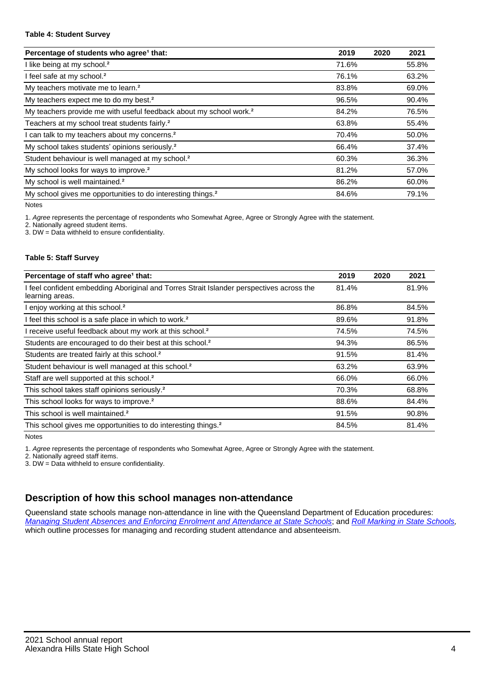#### **Table 4: Student Survey**

| Percentage of students who agree <sup>1</sup> that:                            | 2019  | 2020 | 2021  |
|--------------------------------------------------------------------------------|-------|------|-------|
| I like being at my school. <sup>2</sup>                                        | 71.6% |      | 55.8% |
| I feel safe at my school. <sup>2</sup>                                         | 76.1% |      | 63.2% |
| My teachers motivate me to learn. <sup>2</sup>                                 | 83.8% |      | 69.0% |
| My teachers expect me to do my best. <sup>2</sup>                              | 96.5% |      | 90.4% |
| My teachers provide me with useful feedback about my school work. <sup>2</sup> | 84.2% |      | 76.5% |
| Teachers at my school treat students fairly. <sup>2</sup>                      | 63.8% |      | 55.4% |
| I can talk to my teachers about my concerns. <sup>2</sup>                      | 70.4% |      | 50.0% |
| My school takes students' opinions seriously. <sup>2</sup>                     | 66.4% |      | 37.4% |
| Student behaviour is well managed at my school. <sup>2</sup>                   | 60.3% |      | 36.3% |
| My school looks for ways to improve. <sup>2</sup>                              | 81.2% |      | 57.0% |
| My school is well maintained. <sup>2</sup>                                     | 86.2% |      | 60.0% |
| My school gives me opportunities to do interesting things. <sup>2</sup>        | 84.6% |      | 79.1% |

Notes

1. Agree represents the percentage of respondents who Somewhat Agree, Agree or Strongly Agree with the statement.

2. Nationally agreed student items.

3. DW = Data withheld to ensure confidentiality.

#### **Table 5: Staff Survey**

| Percentage of staff who agree <sup>1</sup> that:                                                            | 2019  | 2020 | 2021  |
|-------------------------------------------------------------------------------------------------------------|-------|------|-------|
| I feel confident embedding Aboriginal and Torres Strait Islander perspectives across the<br>learning areas. | 81.4% |      | 81.9% |
| I enjoy working at this school. <sup>2</sup>                                                                | 86.8% |      | 84.5% |
| I feel this school is a safe place in which to work. <sup>2</sup>                                           | 89.6% |      | 91.8% |
| I receive useful feedback about my work at this school. <sup>2</sup>                                        | 74.5% |      | 74.5% |
| Students are encouraged to do their best at this school. <sup>2</sup>                                       | 94.3% |      | 86.5% |
| Students are treated fairly at this school. <sup>2</sup>                                                    | 91.5% |      | 81.4% |
| Student behaviour is well managed at this school. <sup>2</sup>                                              | 63.2% |      | 63.9% |
| Staff are well supported at this school. <sup>2</sup>                                                       | 66.0% |      | 66.0% |
| This school takes staff opinions seriously. <sup>2</sup>                                                    | 70.3% |      | 68.8% |
| This school looks for ways to improve. <sup>2</sup>                                                         | 88.6% |      | 84.4% |
| This school is well maintained. <sup>2</sup>                                                                | 91.5% |      | 90.8% |
| This school gives me opportunities to do interesting things. <sup>2</sup>                                   | 84.5% |      | 81.4% |

Notes

1. Agree represents the percentage of respondents who Somewhat Agree, Agree or Strongly Agree with the statement.

2. Nationally agreed staff items.

3. DW = Data withheld to ensure confidentiality.

# **Description of how this school manages non-attendance**

Queensland state schools manage non-attendance in line with the Queensland Department of Education procedures: [Managing Student Absences and Enforcing Enrolment and Attendance at State Schools](https://ppr.qed.qld.gov.au/pp/managing-student-absences-and-enforcing-enrolment-and-attendance-at-state-schools-procedure); and [Roll Marking in State Schools,](https://ppr.qed.qld.gov.au/pp/roll-marking-in-state-schools-procedure) which outline processes for managing and recording student attendance and absenteeism.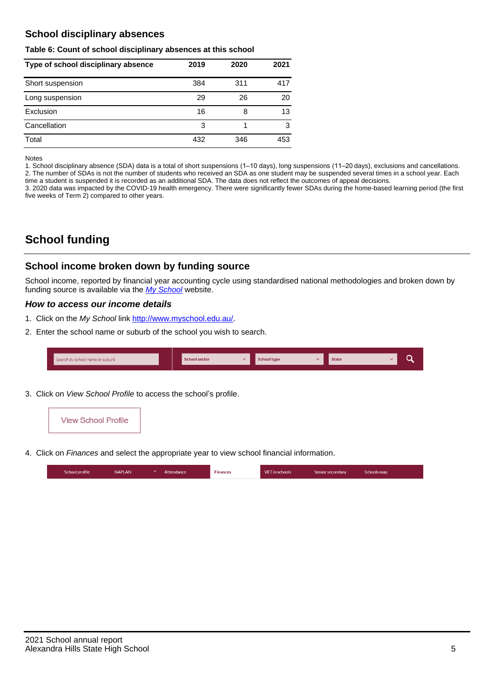# **School disciplinary absences**

### **Table 6: Count of school disciplinary absences at this school**

| Type of school disciplinary absence | 2019 | 2020 | 2021 |
|-------------------------------------|------|------|------|
| Short suspension                    | 384  | 311  | 417  |
| Long suspension                     | 29   | 26   | 20   |
| Exclusion                           | 16   | 8    | 13   |
| Cancellation                        | 3    |      | 3    |
| Total                               | 432  | 346  | 453  |

#### Notes

1. School disciplinary absence (SDA) data is a total of short suspensions (1–10 days), long suspensions (11–20 days), exclusions and cancellations. 2. The number of SDAs is not the number of students who received an SDA as one student may be suspended several times in a school year. Each time a student is suspended it is recorded as an additional SDA. The data does not reflect the outcomes of appeal decisions.

3. 2020 data was impacted by the COVID-19 health emergency. There were significantly fewer SDAs during the home-based learning period (the first five weeks of Term 2) compared to other years.

# **School funding**

## **School income broken down by funding source**

School income, reported by financial year accounting cycle using standardised national methodologies and broken down by funding source is available via the [My School](http://www.myschool.edu.au/) website.

## **How to access our income details**

- 1. Click on the My School link <http://www.myschool.edu.au/>.
- 2. Enter the school name or suburb of the school you wish to search.

| Search by school name or suburb | <b>School sector</b> | School type | <b>State</b> |  |
|---------------------------------|----------------------|-------------|--------------|--|
|                                 |                      |             |              |  |

3. Click on View School Profile to access the school's profile.



4. Click on Finances and select the appropriate year to view school financial information.

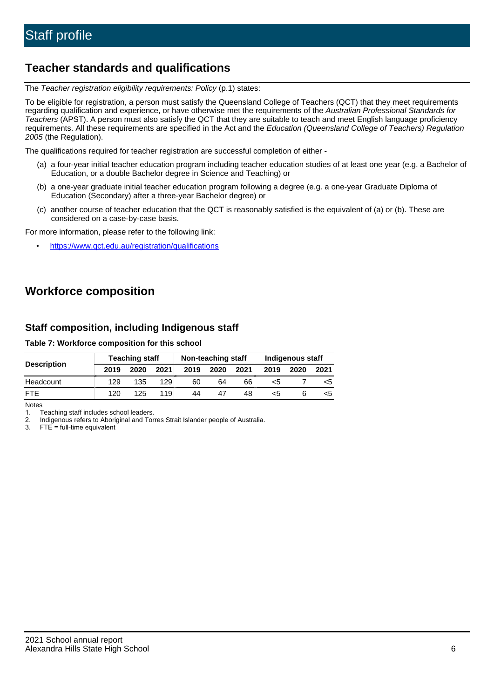# **Teacher standards and qualifications**

The Teacher registration eligibility requirements: Policy (p.1) states:

To be eligible for registration, a person must satisfy the Queensland College of Teachers (QCT) that they meet requirements regarding qualification and experience, or have otherwise met the requirements of the Australian Professional Standards for Teachers (APST). A person must also satisfy the QCT that they are suitable to teach and meet English language proficiency requirements. All these requirements are specified in the Act and the Education (Queensland College of Teachers) Regulation 2005 (the Regulation).

The qualifications required for teacher registration are successful completion of either -

- (a) a four-year initial teacher education program including teacher education studies of at least one year (e.g. a Bachelor of Education, or a double Bachelor degree in Science and Teaching) or
- (b) a one-year graduate initial teacher education program following a degree (e.g. a one-year Graduate Diploma of Education (Secondary) after a three-year Bachelor degree) or
- (c) another course of teacher education that the QCT is reasonably satisfied is the equivalent of (a) or (b). These are considered on a case-by-case basis.

For more information, please refer to the following link:

• <https://www.qct.edu.au/registration/qualifications>

# **Workforce composition**

## **Staff composition, including Indigenous staff**

#### **Table 7: Workforce composition for this school**

|                    | <b>Teaching staff</b> |      |      | Non-teaching staff |      |      | Indigenous staff |      |      |
|--------------------|-----------------------|------|------|--------------------|------|------|------------------|------|------|
| <b>Description</b> | 2019                  | 2020 | 2021 | 2019               | 2020 | 2021 | 2019             | 2020 | 2021 |
| Headcount          | 129                   | 135  | 129  | 60                 | 64   | 66   | <5               |      | <5   |
| <b>FTF</b>         | 120                   | 125  | 119  | 44                 | 47   | 48   | <5               |      | ה>   |

Notes

1. Teaching staff includes school leaders.

2. Indigenous refers to Aboriginal and Torres Strait Islander people of Australia.

3. FTE = full-time equivalent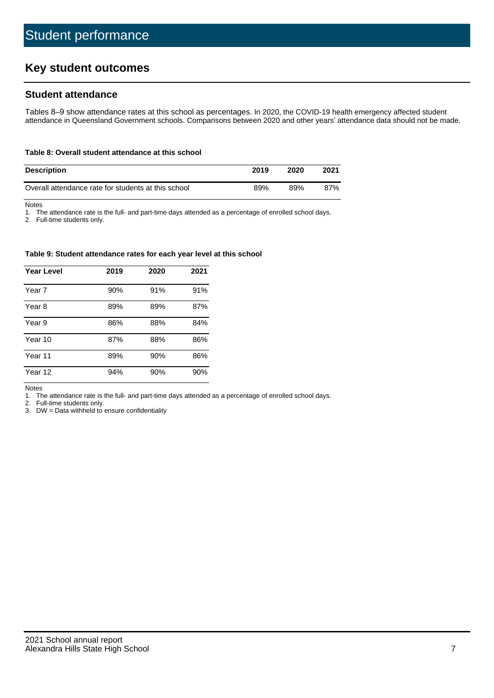# **Key student outcomes**

## **Student attendance**

Tables 8–9 show attendance rates at this school as percentages. In 2020, the COVID-19 health emergency affected student attendance in Queensland Government schools. Comparisons between 2020 and other years' attendance data should not be made.

#### **Table 8: Overall student attendance at this school**

| <b>Description</b>                                  | 2019 | 2020 | 2021 |
|-----------------------------------------------------|------|------|------|
| Overall attendance rate for students at this school | 89%  | 89%  | 87%  |

Notes

1. The attendance rate is the full- and part-time days attended as a percentage of enrolled school days.

2. Full-time students only.

#### **Table 9: Student attendance rates for each year level at this school**

| <b>Year Level</b> | 2019 | 2020 | 2021 |
|-------------------|------|------|------|
| Year 7            | 90%  | 91%  | 91%  |
| Year 8            | 89%  | 89%  | 87%  |
| Year 9            | 86%  | 88%  | 84%  |
| Year 10           | 87%  | 88%  | 86%  |
| Year 11           | 89%  | 90%  | 86%  |
| Year 12           | 94%  | 90%  | 90%  |

Notes

1. The attendance rate is the full- and part-time days attended as a percentage of enrolled school days.

2. Full-time students only.

3. DW = Data withheld to ensure confidentiality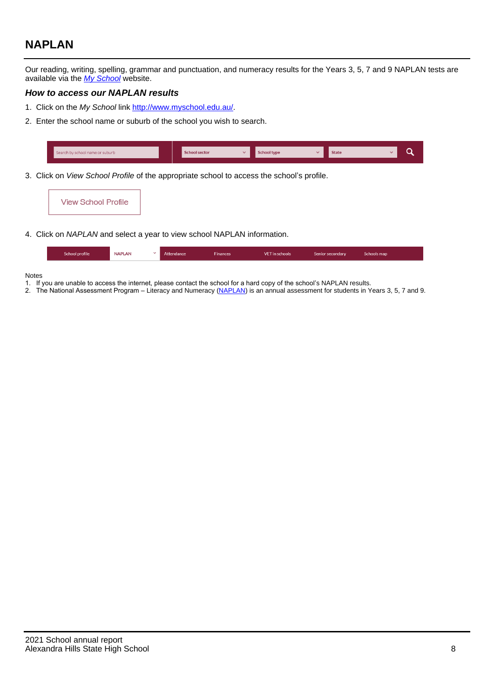# **NAPLAN**

Our reading, writing, spelling, grammar and punctuation, and numeracy results for the Years 3, 5, 7 and 9 NAPLAN tests are available via the [My School](http://www.myschool.edu.au/) website.

## **How to access our NAPLAN results**

- 1. Click on the My School link <http://www.myschool.edu.au/>.
- 2. Enter the school name or suburb of the school you wish to search.

| Search by school name or suburb | <b>School sector</b> | <b>School type</b>                        |          | <b>State</b> |  |
|---------------------------------|----------------------|-------------------------------------------|----------|--------------|--|
|                                 |                      |                                           |          |              |  |
|                                 |                      | $\sim$ $\sim$ $\sim$ $\sim$ $\sim$ $\sim$ | $\cdots$ |              |  |

3. Click on View School Profile of the appropriate school to access the school's profile.



4. Click on NAPLAN and select a year to view school NAPLAN information.

| <b>NAPLAN</b><br>School profile<br><b>VET</b> in schools<br><b>Finances</b><br>Attendance<br>Schools map<br>Senior secondary |
|------------------------------------------------------------------------------------------------------------------------------|
|------------------------------------------------------------------------------------------------------------------------------|

#### Notes

- 1. If you are unable to access the internet, please contact the school for a hard copy of the school's NAPLAN results.
- 2. The National Assessment Program Literacy and Numeracy ([NAPLAN\)](http://www.nap.edu.au/naplan) is an annual assessment for students in Years 3, 5, 7 and 9.